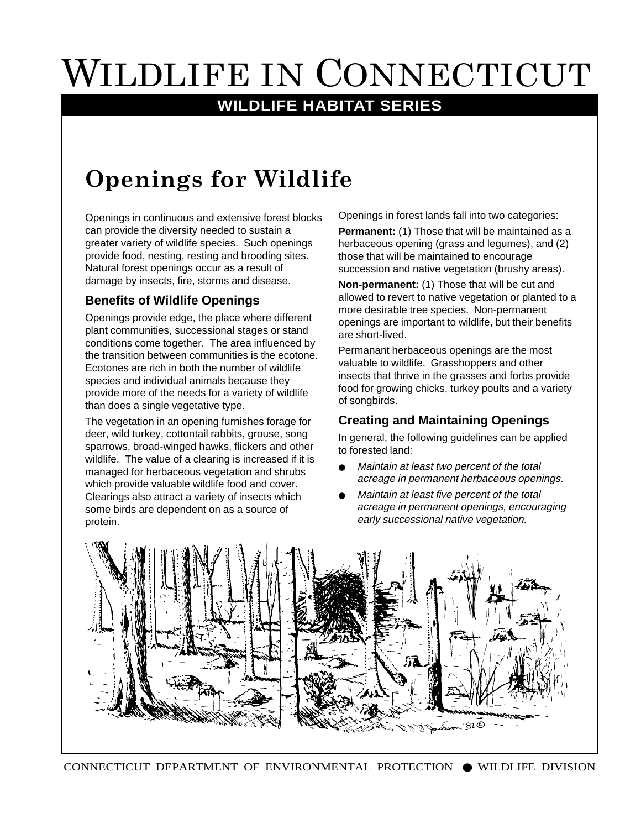# WILDLIFE IN CONNECTICUT

### **WILDLIFE HABITAT SERIES**

## **Openings for Wildlife**

Openings in continuous and extensive forest blocks can provide the diversity needed to sustain a greater variety of wildlife species. Such openings provide food, nesting, resting and brooding sites. Natural forest openings occur as a result of damage by insects, fire, storms and disease.

#### **Benefits of Wildlife Openings**

Openings provide edge, the place where different plant communities, successional stages or stand conditions come together. The area influenced by the transition between communities is the ecotone. Ecotones are rich in both the number of wildlife species and individual animals because they provide more of the needs for a variety of wildlife than does a single vegetative type.

The vegetation in an opening furnishes forage for deer, wild turkey, cottontail rabbits, grouse, song sparrows, broad-winged hawks, flickers and other wildlife. The value of a clearing is increased if it is managed for herbaceous vegetation and shrubs which provide valuable wildlife food and cover. Clearings also attract a variety of insects which some birds are dependent on as a source of protein.

Openings in forest lands fall into two categories:

**Permanent:** (1) Those that will be maintained as a herbaceous opening (grass and legumes), and (2) those that will be maintained to encourage succession and native vegetation (brushy areas).

**Non-permanent:** (1) Those that will be cut and allowed to revert to native vegetation or planted to a more desirable tree species. Non-permanent openings are important to wildlife, but their benefits are short-lived.

Permanant herbaceous openings are the most valuable to wildlife. Grasshoppers and other insects that thrive in the grasses and forbs provide food for growing chicks, turkey poults and a variety of songbirds.

#### **Creating and Maintaining Openings**

In general, the following guidelines can be applied to forested land:

- Maintain at least two percent of the total acreage in permanent herbaceous openings.
- Maintain at least five percent of the total acreage in permanent openings, encouraging early successional native vegetation.